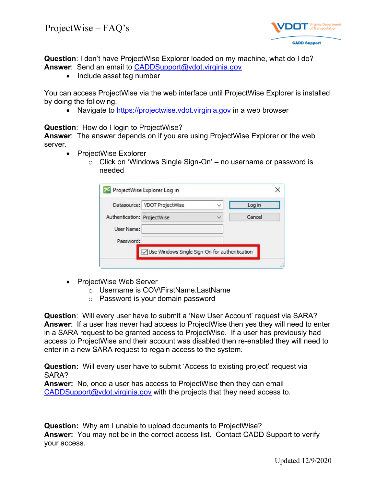

**Question**: I don't have ProjectWise Explorer loaded on my machine, what do I do? **Answer**: Send an email to [CADDSupport@vdot.virginia.gov](mailto:CADDSupport@vdot.virginia.gov)

• Include asset tag number

You can access ProjectWise via the web interface until ProjectWise Explorer is installed by doing the following.

• Navigate to [https://projectwise.vdot.virginia.gov](https://projectwise.vdot.virginia.gov/) in a web browser

**Question**: How do I login to ProjectWise?

**Answer**: The answer depends on if you are using ProjectWise Explorer or the web server.

- ProjectWise Explorer
	- $\circ$  Click on 'Windows Single Sign-On' no username or password is needed

|                             | Datasource: VDOT ProjectWise                  | $\checkmark$ | Log in |
|-----------------------------|-----------------------------------------------|--------------|--------|
| Authentication: ProjectWise |                                               | $\checkmark$ | Cancel |
| User Name:                  |                                               |              |        |
| Password:                   |                                               |              |        |
|                             | Use Windows Single Sign-On for authentication |              |        |

- ProjectWise Web Server
	- o Username is COV\FirstName.LastName
	- o Password is your domain password

**Question**: Will every user have to submit a 'New User Account' request via SARA? **Answer**: If a user has never had access to ProjectWise then yes they will need to enter in a SARA request to be granted access to ProjectWise. If a user has previously had access to ProjectWise and their account was disabled then re-enabled they will need to enter in a new SARA request to regain access to the system.

**Question:** Will every user have to submit 'Access to existing project' request via SARA?

**Answer:** No, once a user has access to ProjectWise then they can email [CADDSupport@vdot.virginia.gov](mailto:CADDSupport@vdot.virginia.gov) with the projects that they need access to.

**Question:** Why am I unable to upload documents to ProjectWise? **Answer:** You may not be in the correct access list. Contact CADD Support to verify your access.